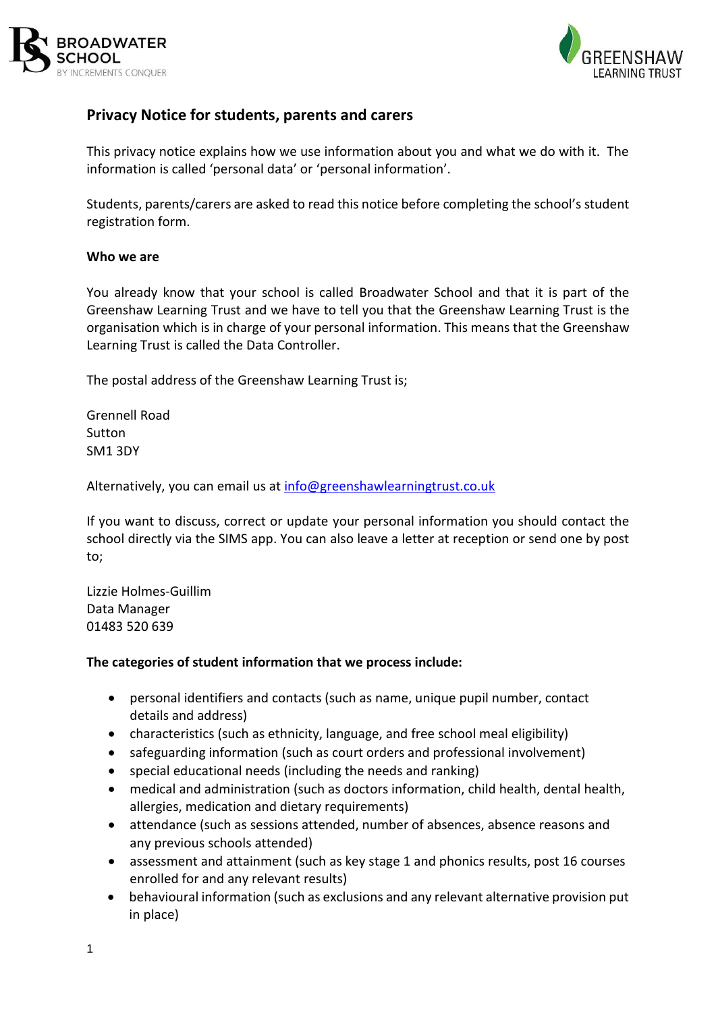



# **Privacy Notice for students, parents and carers**

This privacy notice explains how we use information about you and what we do with it. The information is called 'personal data' or 'personal information'.

Students, parents/carers are asked to read this notice before completing the school's student registration form.

#### **Who we are**

You already know that your school is called Broadwater School and that it is part of the Greenshaw Learning Trust and we have to tell you that the Greenshaw Learning Trust is the organisation which is in charge of your personal information. This means that the Greenshaw Learning Trust is called the Data Controller.

The postal address of the Greenshaw Learning Trust is;

Grennell Road Sutton SM1 3DY

Alternatively, you can email us at [info@greenshawlearningtrust.co.uk](mailto:info@greenshawlearningtrust.co.uk)

If you want to discuss, correct or update your personal information you should contact the school directly via the SIMS app. You can also leave a letter at reception or send one by post to;

Lizzie Holmes-Guillim Data Manager 01483 520 639

## **The categories of student information that we process include:**

- personal identifiers and contacts (such as name, unique pupil number, contact details and address)
- characteristics (such as ethnicity, language, and free school meal eligibility)
- safeguarding information (such as court orders and professional involvement)
- special educational needs (including the needs and ranking)
- medical and administration (such as doctors information, child health, dental health, allergies, medication and dietary requirements)
- attendance (such as sessions attended, number of absences, absence reasons and any previous schools attended)
- assessment and attainment (such as key stage 1 and phonics results, post 16 courses enrolled for and any relevant results)
- behavioural information (such as exclusions and any relevant alternative provision put in place)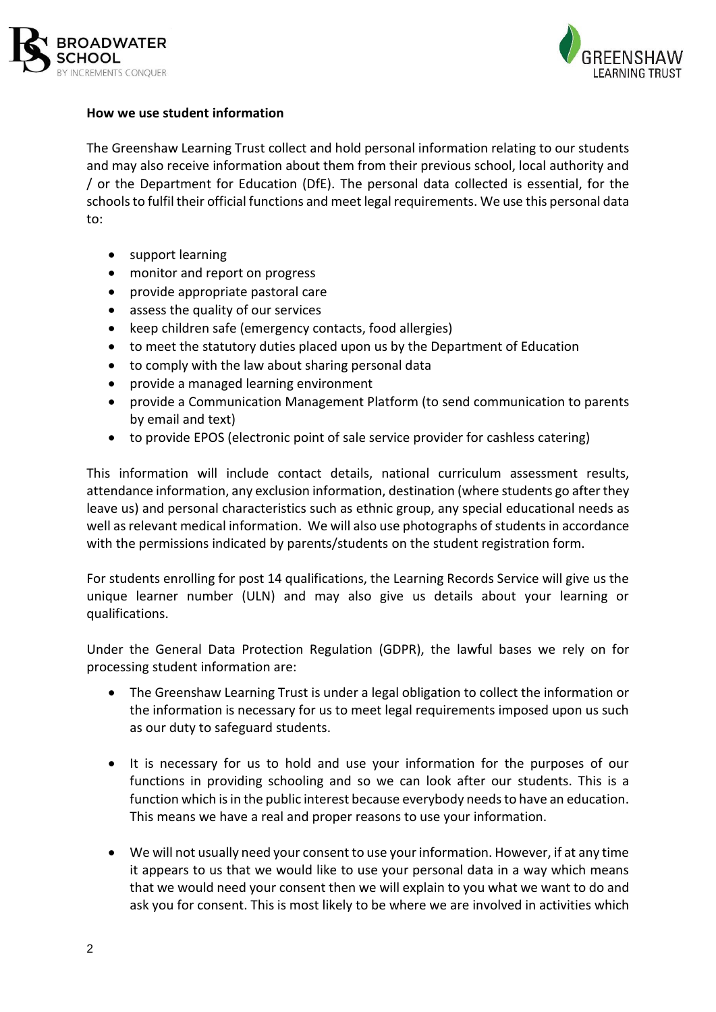



# **How we use student information**

The Greenshaw Learning Trust collect and hold personal information relating to our students and may also receive information about them from their previous school, local authority and / or the Department for Education (DfE). The personal data collected is essential, for the schools to fulfil their official functions and meet legal requirements. We use this personal data to:

- support learning
- monitor and report on progress
- provide appropriate pastoral care
- assess the quality of our services
- keep children safe (emergency contacts, food allergies)
- to meet the statutory duties placed upon us by the Department of Education
- to comply with the law about sharing personal data
- provide a managed learning environment
- provide a Communication Management Platform (to send communication to parents by email and text)
- to provide EPOS (electronic point of sale service provider for cashless catering)

This information will include contact details, national curriculum assessment results, attendance information, any exclusion information, destination (where students go after they leave us) and personal characteristics such as ethnic group, any special educational needs as well as relevant medical information. We will also use photographs of students in accordance with the permissions indicated by parents/students on the student registration form.

For students enrolling for post 14 qualifications, the Learning Records Service will give us the unique learner number (ULN) and may also give us details about your learning or qualifications.

Under the General Data Protection Regulation (GDPR), the lawful bases we rely on for processing student information are:

- The Greenshaw Learning Trust is under a legal obligation to collect the information or the information is necessary for us to meet legal requirements imposed upon us such as our duty to safeguard students.
- It is necessary for us to hold and use your information for the purposes of our functions in providing schooling and so we can look after our students. This is a function which is in the public interest because everybody needs to have an education. This means we have a real and proper reasons to use your information.
- We will not usually need your consent to use your information. However, if at any time it appears to us that we would like to use your personal data in a way which means that we would need your consent then we will explain to you what we want to do and ask you for consent. This is most likely to be where we are involved in activities which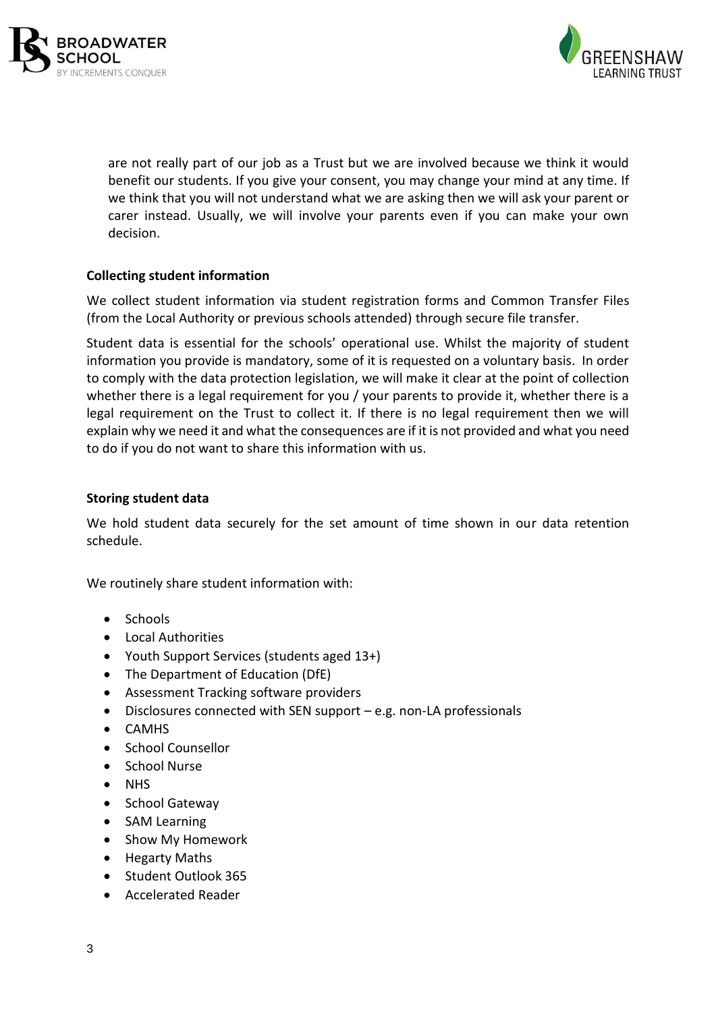



are not really part of our job as a Trust but we are involved because we think it would benefit our students. If you give your consent, you may change your mind at any time. If we think that you will not understand what we are asking then we will ask your parent or carer instead. Usually, we will involve your parents even if you can make your own decision.

# **Collecting student information**

We collect student information via student registration forms and Common Transfer Files (from the Local Authority or previous schools attended) through secure file transfer.

Student data is essential for the schools' operational use. Whilst the majority of student information you provide is mandatory, some of it is requested on a voluntary basis. In order to comply with the data protection legislation, we will make it clear at the point of collection whether there is a legal requirement for you / your parents to provide it, whether there is a legal requirement on the Trust to collect it. If there is no legal requirement then we will explain why we need it and what the consequences are if it is not provided and what you need to do if you do not want to share this information with us.

#### **Storing student data**

We hold student data securely for the set amount of time shown in our data retention schedule.

We routinely share student information with:

- Schools
- Local Authorities
- Youth Support Services (students aged 13+)
- The Department of Education (DfE)
- Assessment Tracking software providers
- Disclosures connected with SEN support e.g. non-LA professionals
- **CAMHS**
- School Counsellor
- School Nurse
- NHS
- School Gateway
- SAM Learning
- Show My Homework
- Hegarty Maths
- Student Outlook 365
- Accelerated Reader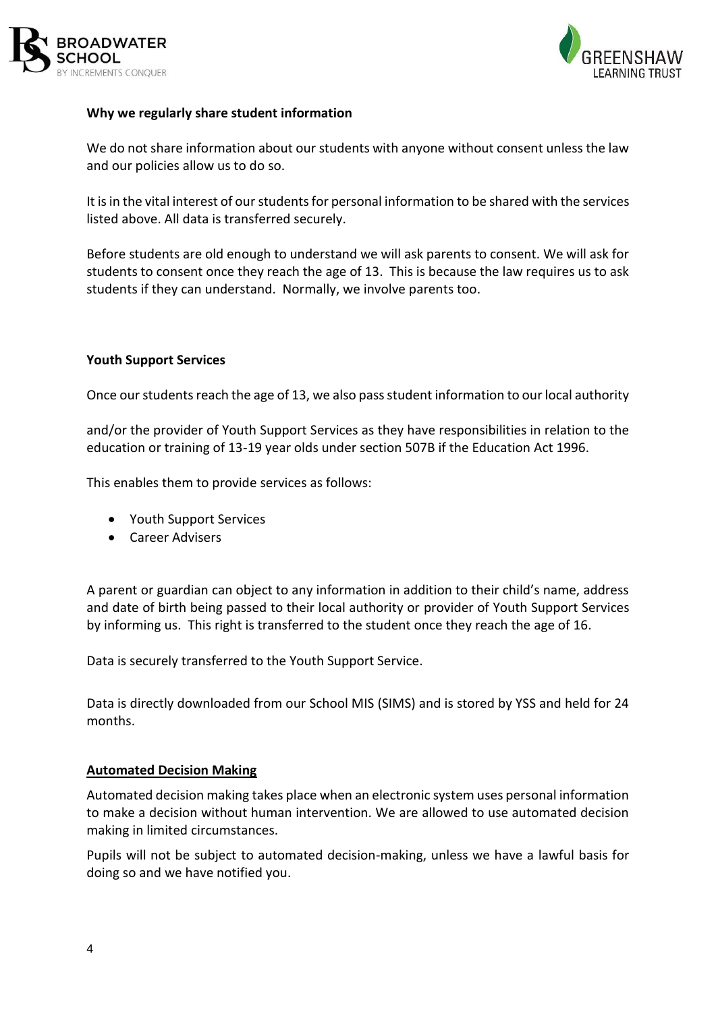



# **Why we regularly share student information**

We do not share information about our students with anyone without consent unless the law and our policies allow us to do so.

It is in the vital interest of our students for personal information to be shared with the services listed above. All data is transferred securely.

Before students are old enough to understand we will ask parents to consent. We will ask for students to consent once they reach the age of 13. This is because the law requires us to ask students if they can understand. Normally, we involve parents too.

## **Youth Support Services**

Once our students reach the age of 13, we also pass student information to our local authority

and/or the provider of Youth Support Services as they have responsibilities in relation to the education or training of 13-19 year olds under section 507B if the Education Act 1996.

This enables them to provide services as follows:

- Youth Support Services
- Career Advisers

A parent or guardian can object to any information in addition to their child's name, address and date of birth being passed to their local authority or provider of Youth Support Services by informing us. This right is transferred to the student once they reach the age of 16.

Data is securely transferred to the Youth Support Service.

Data is directly downloaded from our School MIS (SIMS) and is stored by YSS and held for 24 months.

## **Automated Decision Making**

Automated decision making takes place when an electronic system uses personal information to make a decision without human intervention. We are allowed to use automated decision making in limited circumstances.

Pupils will not be subject to automated decision-making, unless we have a lawful basis for doing so and we have notified you.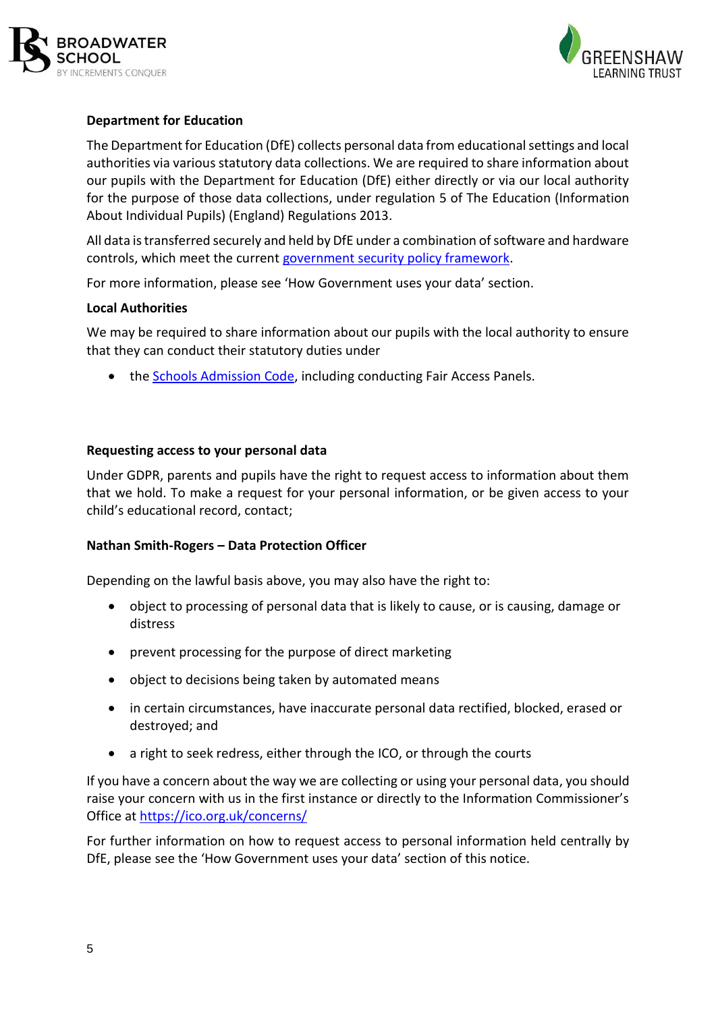



# **Department for Education**

The Department for Education (DfE) collects personal data from educational settings and local authorities via various statutory data collections. We are required to share information about our pupils with the Department for Education (DfE) either directly or via our local authority for the purpose of those data collections, under regulation 5 of The Education (Information About Individual Pupils) (England) Regulations 2013.

All data is transferred securely and held by DfE under a combination of software and hardware controls, which meet the current [government security policy framework.](https://www.gov.uk/government/publications/security-policy-framework)

For more information, please see 'How Government uses your data' section.

# **Local Authorities**

We may be required to share information about our pupils with the local authority to ensure that they can conduct their statutory duties under

• the [Schools Admission Code,](https://www.gov.uk/government/publications/school-admissions-code--2) including conducting Fair Access Panels.

## **Requesting access to your personal data**

Under GDPR, parents and pupils have the right to request access to information about them that we hold. To make a request for your personal information, or be given access to your child's educational record, contact;

## **Nathan Smith-Rogers – Data Protection Officer**

Depending on the lawful basis above, you may also have the right to:

- object to processing of personal data that is likely to cause, or is causing, damage or distress
- prevent processing for the purpose of direct marketing
- object to decisions being taken by automated means
- in certain circumstances, have inaccurate personal data rectified, blocked, erased or destroyed; and
- a right to seek redress, either through the ICO, or through the courts

If you have a concern about the way we are collecting or using your personal data, you should raise your concern with us in the first instance or directly to the Information Commissioner's Office at<https://ico.org.uk/concerns/>

For further information on how to request access to personal information held centrally by DfE, please see the 'How Government uses your data' section of this notice.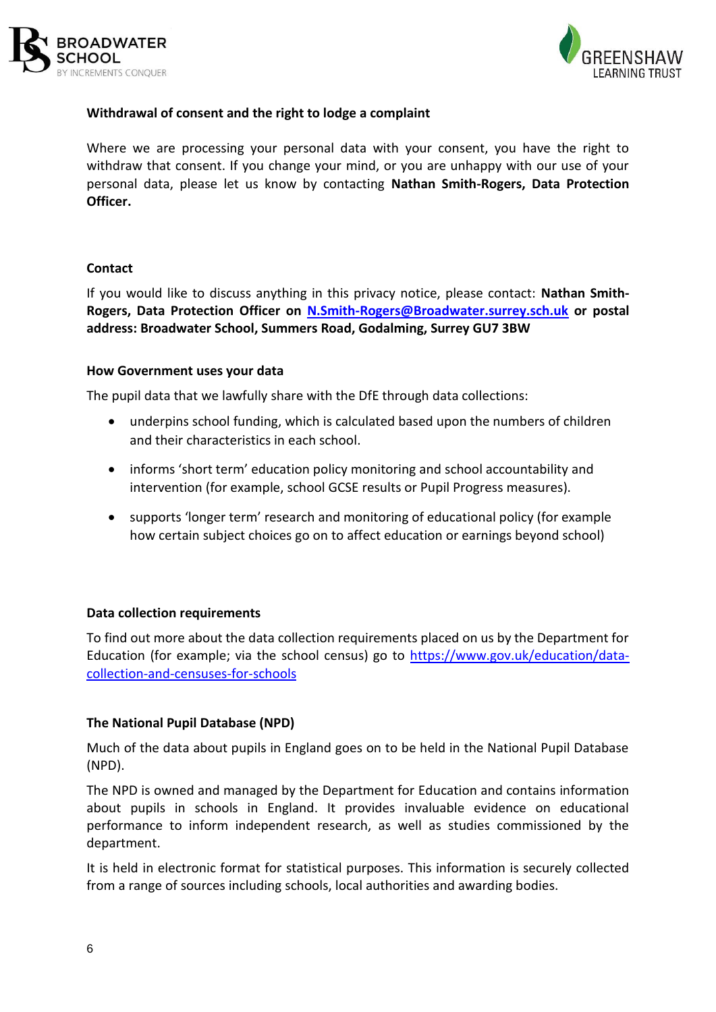



# **Withdrawal of consent and the right to lodge a complaint**

Where we are processing your personal data with your consent, you have the right to withdraw that consent. If you change your mind, or you are unhappy with our use of your personal data, please let us know by contacting **Nathan Smith-Rogers, Data Protection Officer.**

#### **Contact**

If you would like to discuss anything in this privacy notice, please contact: **Nathan Smith-Rogers, Data Protection Officer on [N.Smith-Rogers@Broadwater.surrey.sch.uk](mailto:N.Smith-Rogers@Broadwater.surrey.sch.uk) or postal address: Broadwater School, Summers Road, Godalming, Surrey GU7 3BW**

#### **How Government uses your data**

The pupil data that we lawfully share with the DfE through data collections:

- underpins school funding, which is calculated based upon the numbers of children and their characteristics in each school.
- informs 'short term' education policy monitoring and school accountability and intervention (for example, school GCSE results or Pupil Progress measures).
- supports 'longer term' research and monitoring of educational policy (for example how certain subject choices go on to affect education or earnings beyond school)

#### **Data collection requirements**

To find out more about the data collection requirements placed on us by the Department for Education (for example; via the school census) go to [https://www.gov.uk/education/data](https://www.gov.uk/education/data-collection-and-censuses-for-schools)[collection-and-censuses-for-schools](https://www.gov.uk/education/data-collection-and-censuses-for-schools)

## **The National Pupil Database (NPD)**

Much of the data about pupils in England goes on to be held in the National Pupil Database (NPD).

The NPD is owned and managed by the Department for Education and contains information about pupils in schools in England. It provides invaluable evidence on educational performance to inform independent research, as well as studies commissioned by the department.

It is held in electronic format for statistical purposes. This information is securely collected from a range of sources including schools, local authorities and awarding bodies.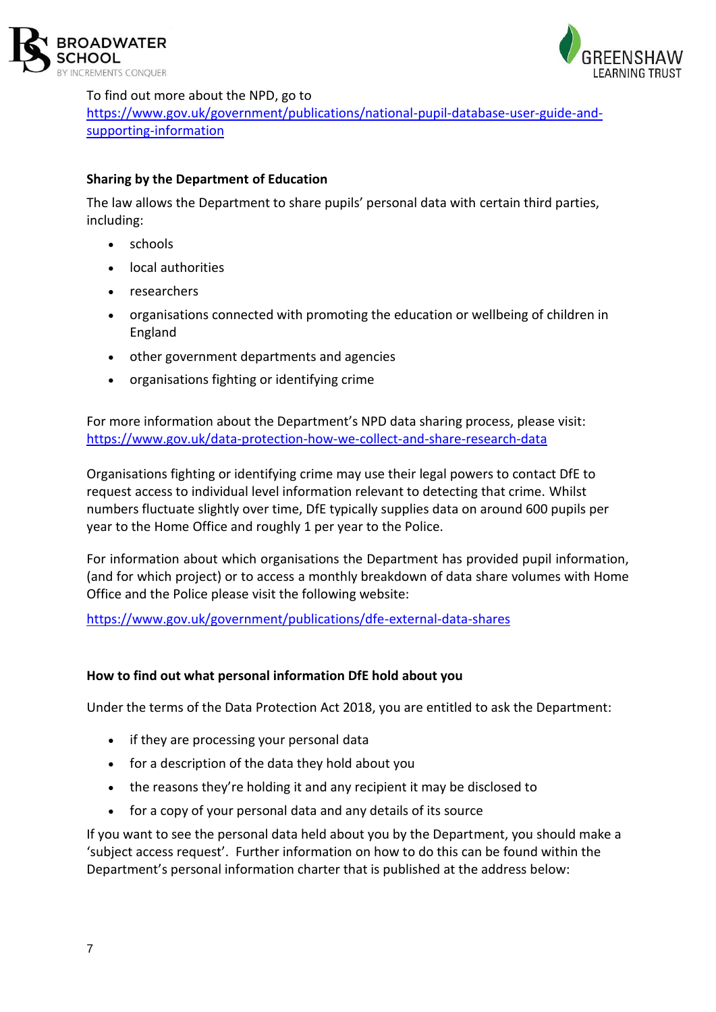



#### To find out more about the NPD, go to

[https://www.gov.uk/government/publications/national-pupil-database-user-guide-and](https://www.gov.uk/government/publications/national-pupil-database-user-guide-and-supporting-information)[supporting-information](https://www.gov.uk/government/publications/national-pupil-database-user-guide-and-supporting-information)

# **Sharing by the Department of Education**

The law allows the Department to share pupils' personal data with certain third parties, including:

- schools
- local authorities
- researchers
- organisations connected with promoting the education or wellbeing of children in England
- other government departments and agencies
- organisations fighting or identifying crime

For more information about the Department's NPD data sharing process, please visit: <https://www.gov.uk/data-protection-how-we-collect-and-share-research-data>

Organisations fighting or identifying crime may use their legal powers to contact DfE to request access to individual level information relevant to detecting that crime. Whilst numbers fluctuate slightly over time, DfE typically supplies data on around 600 pupils per year to the Home Office and roughly 1 per year to the Police.

For information about which organisations the Department has provided pupil information, (and for which project) or to access a monthly breakdown of data share volumes with Home Office and the Police please visit the following website:

<https://www.gov.uk/government/publications/dfe-external-data-shares>

## **How to find out what personal information DfE hold about you**

Under the terms of the Data Protection Act 2018, you are entitled to ask the Department:

- if they are processing your personal data
- for a description of the data they hold about you
- the reasons they're holding it and any recipient it may be disclosed to
- for a copy of your personal data and any details of its source

If you want to see the personal data held about you by the Department, you should make a 'subject access request'. Further information on how to do this can be found within the Department's personal information charter that is published at the address below: